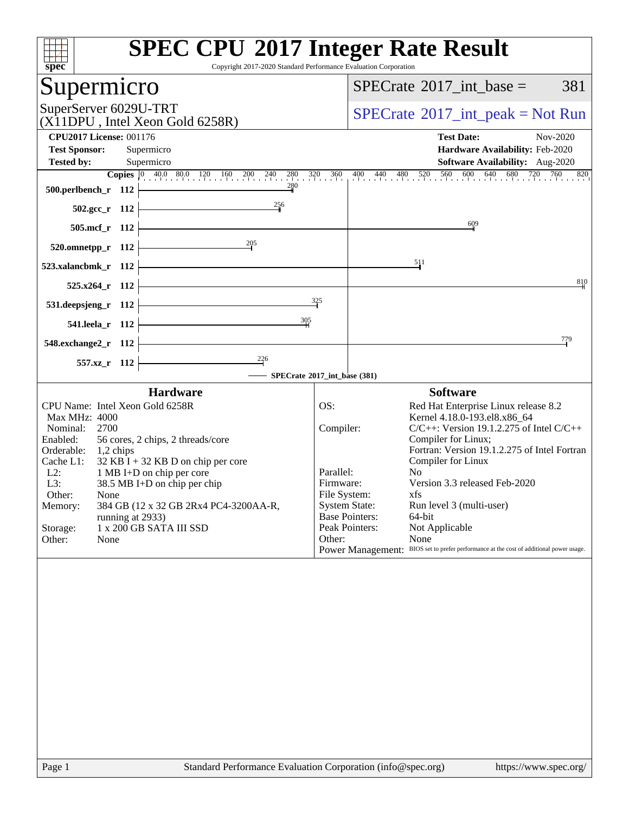| <b>SPEC CPU®2017 Integer Rate Result</b><br>Copyright 2017-2020 Standard Performance Evaluation Corporation                                                                                                                                                                                                                                                                                                                                                                                                                                                                                                                                                                                                                                                                                                                      |
|----------------------------------------------------------------------------------------------------------------------------------------------------------------------------------------------------------------------------------------------------------------------------------------------------------------------------------------------------------------------------------------------------------------------------------------------------------------------------------------------------------------------------------------------------------------------------------------------------------------------------------------------------------------------------------------------------------------------------------------------------------------------------------------------------------------------------------|
| $SPECrate^{\circledast}2017$ int base =<br>381                                                                                                                                                                                                                                                                                                                                                                                                                                                                                                                                                                                                                                                                                                                                                                                   |
| $SPECrate^{\circledast}2017\_int\_peak = Not Run$                                                                                                                                                                                                                                                                                                                                                                                                                                                                                                                                                                                                                                                                                                                                                                                |
| <b>Test Date:</b><br>Nov-2020<br>Hardware Availability: Feb-2020                                                                                                                                                                                                                                                                                                                                                                                                                                                                                                                                                                                                                                                                                                                                                                 |
| <b>Software Availability:</b> Aug-2020<br><b>Copies</b> $\begin{bmatrix} 0 & 40.0 & 80.0 & 120 & 160 & 200 & 240 & 280 & 320 & 360 & 400 & 440 & 480 & 520 & 560 & 600 & 640 & 680 & 720 & 760 & 820 \end{bmatrix}$                                                                                                                                                                                                                                                                                                                                                                                                                                                                                                                                                                                                              |
|                                                                                                                                                                                                                                                                                                                                                                                                                                                                                                                                                                                                                                                                                                                                                                                                                                  |
| 609                                                                                                                                                                                                                                                                                                                                                                                                                                                                                                                                                                                                                                                                                                                                                                                                                              |
| 511                                                                                                                                                                                                                                                                                                                                                                                                                                                                                                                                                                                                                                                                                                                                                                                                                              |
| 810                                                                                                                                                                                                                                                                                                                                                                                                                                                                                                                                                                                                                                                                                                                                                                                                                              |
|                                                                                                                                                                                                                                                                                                                                                                                                                                                                                                                                                                                                                                                                                                                                                                                                                                  |
| 779                                                                                                                                                                                                                                                                                                                                                                                                                                                                                                                                                                                                                                                                                                                                                                                                                              |
| SPECrate®2017_int_base (381)                                                                                                                                                                                                                                                                                                                                                                                                                                                                                                                                                                                                                                                                                                                                                                                                     |
| <b>Software</b><br>OS:<br>Red Hat Enterprise Linux release 8.2<br>Kernel 4.18.0-193.el8.x86_64<br>Compiler:<br>$C/C++$ : Version 19.1.2.275 of Intel $C/C++$<br>Compiler for Linux;<br>Fortran: Version 19.1.2.275 of Intel Fortran<br>Compiler for Linux<br>Parallel:<br>N <sub>0</sub><br>Version 3.3 released Feb-2020<br>Firmware:<br>File System:<br>xfs and the set of the set of the set of the set of the set of the set of the set of the set of the set of the set of the set of the set of the set of the set of the set of the set of the set of the set of the set of the s<br><b>System State:</b><br>Run level 3 (multi-user)<br><b>Base Pointers:</b><br>64-bit<br>Peak Pointers:<br>Not Applicable<br>Other:<br>None<br>Power Management: BIOS set to prefer performance at the cost of additional power usage. |
| 325                                                                                                                                                                                                                                                                                                                                                                                                                                                                                                                                                                                                                                                                                                                                                                                                                              |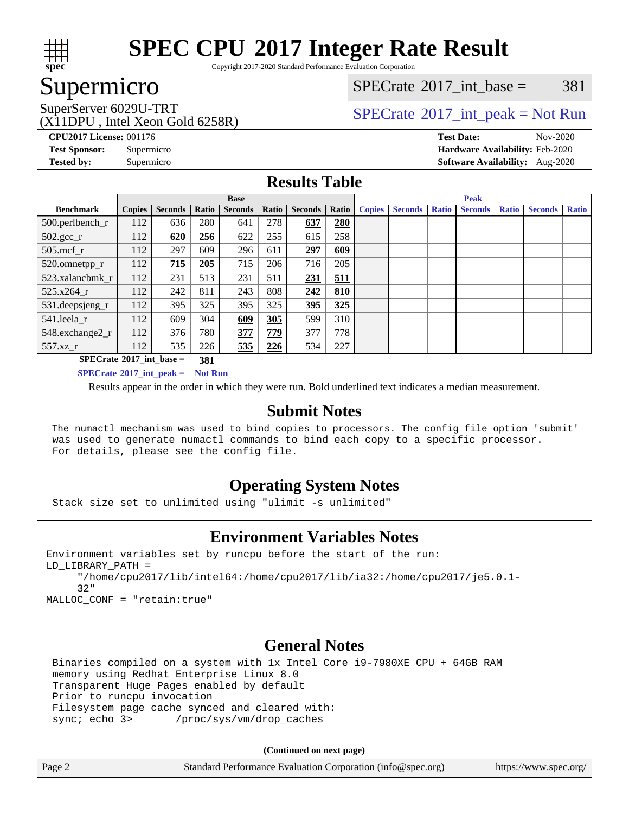

Copyright 2017-2020 Standard Performance Evaluation Corporation

### Supermicro

[SPECrate](http://www.spec.org/auto/cpu2017/Docs/result-fields.html#SPECrate2017intbase)<sup>®</sup>2017 int base =  $381$ 

(X11DPU , Intel Xeon Gold 6258R)

SuperServer 6029U-TRT  $SPECrate^{\circ}2017$  $SPECrate^{\circ}2017$ \_int\_peak = Not Run

**[CPU2017 License:](http://www.spec.org/auto/cpu2017/Docs/result-fields.html#CPU2017License)** 001176 **[Test Date:](http://www.spec.org/auto/cpu2017/Docs/result-fields.html#TestDate)** Nov-2020 **[Test Sponsor:](http://www.spec.org/auto/cpu2017/Docs/result-fields.html#TestSponsor)** Supermicro **[Hardware Availability:](http://www.spec.org/auto/cpu2017/Docs/result-fields.html#HardwareAvailability)** Feb-2020 **[Tested by:](http://www.spec.org/auto/cpu2017/Docs/result-fields.html#Testedby)** Supermicro **[Software Availability:](http://www.spec.org/auto/cpu2017/Docs/result-fields.html#SoftwareAvailability)** Aug-2020

#### **[Results Table](http://www.spec.org/auto/cpu2017/Docs/result-fields.html#ResultsTable)**

|                                   | <b>Base</b>   |                |                |                |       | <b>Peak</b>    |       |               |                |              |                |              |                |              |
|-----------------------------------|---------------|----------------|----------------|----------------|-------|----------------|-------|---------------|----------------|--------------|----------------|--------------|----------------|--------------|
| <b>Benchmark</b>                  | <b>Copies</b> | <b>Seconds</b> | Ratio          | <b>Seconds</b> | Ratio | <b>Seconds</b> | Ratio | <b>Copies</b> | <b>Seconds</b> | <b>Ratio</b> | <b>Seconds</b> | <b>Ratio</b> | <b>Seconds</b> | <b>Ratio</b> |
| 500.perlbench_r                   | 112           | 636            | 280            | 641            | 278   | 637            | 280   |               |                |              |                |              |                |              |
| $502.\text{gcc\_r}$               | 112           | 620            | 256            | 622            | 255   | 615            | 258   |               |                |              |                |              |                |              |
| $505$ .mcf r                      | 112           | 297            | 609            | 296            | 611   | 297            | 609   |               |                |              |                |              |                |              |
| 520.omnetpp_r                     | 112           | 715            | 205            | 715            | 206   | 716            | 205   |               |                |              |                |              |                |              |
| 523.xalancbmk r                   | 112           | 231            | 513            | 231            | 511   | 231            | 511   |               |                |              |                |              |                |              |
| 525.x264 r                        | 112           | 242            | 811            | 243            | 808   | 242            | 810   |               |                |              |                |              |                |              |
| 531.deepsjeng_r                   | 112           | 395            | 325            | 395            | 325   | 395            | 325   |               |                |              |                |              |                |              |
| 541.leela r                       | 112           | 609            | 304            | 609            | 305   | 599            | 310   |               |                |              |                |              |                |              |
| 548.exchange2_r                   | 112           | 376            | 780            | 377            | 779   | 377            | 778   |               |                |              |                |              |                |              |
| 557.xz r                          | 112           | 535            | 226            | 535            | 226   | 534            | 227   |               |                |              |                |              |                |              |
| $SPECrate^{\circ}2017$ int base = |               |                | 381            |                |       |                |       |               |                |              |                |              |                |              |
| $SPECrate^{\circ}2017$ int peak = |               |                | <b>Not Run</b> |                |       |                |       |               |                |              |                |              |                |              |

Results appear in the [order in which they were run](http://www.spec.org/auto/cpu2017/Docs/result-fields.html#RunOrder). Bold underlined text [indicates a median measurement](http://www.spec.org/auto/cpu2017/Docs/result-fields.html#Median).

#### **[Submit Notes](http://www.spec.org/auto/cpu2017/Docs/result-fields.html#SubmitNotes)**

 The numactl mechanism was used to bind copies to processors. The config file option 'submit' was used to generate numactl commands to bind each copy to a specific processor. For details, please see the config file.

### **[Operating System Notes](http://www.spec.org/auto/cpu2017/Docs/result-fields.html#OperatingSystemNotes)**

Stack size set to unlimited using "ulimit -s unlimited"

#### **[Environment Variables Notes](http://www.spec.org/auto/cpu2017/Docs/result-fields.html#EnvironmentVariablesNotes)**

```
Environment variables set by runcpu before the start of the run:
LD_LIBRARY_PATH =
      "/home/cpu2017/lib/intel64:/home/cpu2017/lib/ia32:/home/cpu2017/je5.0.1-
      32"
```
MALLOC\_CONF = "retain:true"

#### **[General Notes](http://www.spec.org/auto/cpu2017/Docs/result-fields.html#GeneralNotes)**

 Binaries compiled on a system with 1x Intel Core i9-7980XE CPU + 64GB RAM memory using Redhat Enterprise Linux 8.0 Transparent Huge Pages enabled by default Prior to runcpu invocation Filesystem page cache synced and cleared with: sync; echo 3> /proc/sys/vm/drop\_caches

**(Continued on next page)**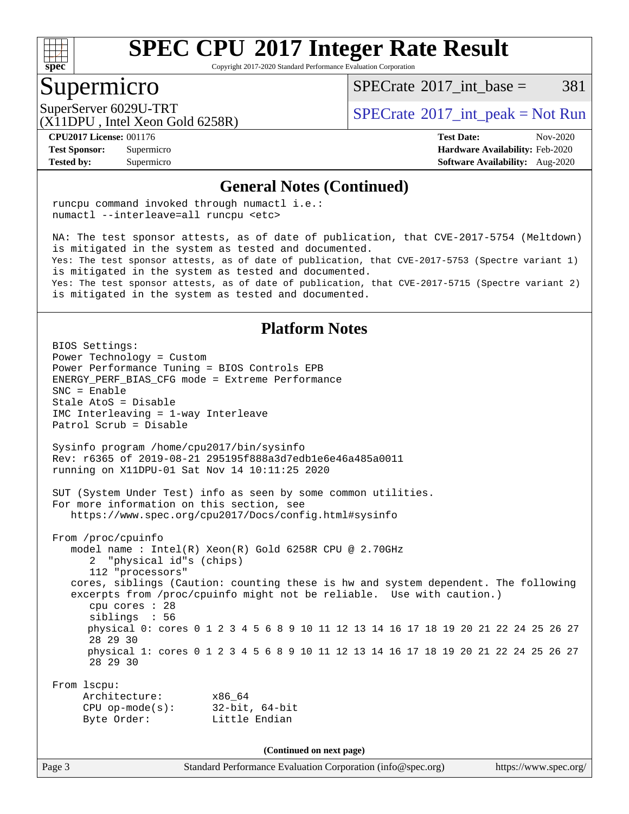

Copyright 2017-2020 Standard Performance Evaluation Corporation

### Supermicro

 $SPECTate^{\circledast}2017$  int base = 381

(X11DPU , Intel Xeon Gold 6258R)

SuperServer 6029U-TRT  $SPECrate^{\circ}2017$  $SPECrate^{\circ}2017$ \_int\_peak = Not Run

**[Tested by:](http://www.spec.org/auto/cpu2017/Docs/result-fields.html#Testedby)** Supermicro **[Software Availability:](http://www.spec.org/auto/cpu2017/Docs/result-fields.html#SoftwareAvailability)** Aug-2020

**[CPU2017 License:](http://www.spec.org/auto/cpu2017/Docs/result-fields.html#CPU2017License)** 001176 **[Test Date:](http://www.spec.org/auto/cpu2017/Docs/result-fields.html#TestDate)** Nov-2020 **[Test Sponsor:](http://www.spec.org/auto/cpu2017/Docs/result-fields.html#TestSponsor)** Supermicro **[Hardware Availability:](http://www.spec.org/auto/cpu2017/Docs/result-fields.html#HardwareAvailability)** Feb-2020

#### **[General Notes \(Continued\)](http://www.spec.org/auto/cpu2017/Docs/result-fields.html#GeneralNotes)**

 runcpu command invoked through numactl i.e.: numactl --interleave=all runcpu <etc>

 NA: The test sponsor attests, as of date of publication, that CVE-2017-5754 (Meltdown) is mitigated in the system as tested and documented. Yes: The test sponsor attests, as of date of publication, that CVE-2017-5753 (Spectre variant 1) is mitigated in the system as tested and documented. Yes: The test sponsor attests, as of date of publication, that CVE-2017-5715 (Spectre variant 2) is mitigated in the system as tested and documented.

#### **[Platform Notes](http://www.spec.org/auto/cpu2017/Docs/result-fields.html#PlatformNotes)**

Page 3 Standard Performance Evaluation Corporation [\(info@spec.org\)](mailto:info@spec.org) <https://www.spec.org/> BIOS Settings: Power Technology = Custom Power Performance Tuning = BIOS Controls EPB ENERGY\_PERF\_BIAS\_CFG mode = Extreme Performance SNC = Enable Stale AtoS = Disable IMC Interleaving = 1-way Interleave Patrol Scrub = Disable Sysinfo program /home/cpu2017/bin/sysinfo Rev: r6365 of 2019-08-21 295195f888a3d7edb1e6e46a485a0011 running on X11DPU-01 Sat Nov 14 10:11:25 2020 SUT (System Under Test) info as seen by some common utilities. For more information on this section, see <https://www.spec.org/cpu2017/Docs/config.html#sysinfo> From /proc/cpuinfo model name : Intel(R) Xeon(R) Gold 6258R CPU @ 2.70GHz 2 "physical id"s (chips) 112 "processors" cores, siblings (Caution: counting these is hw and system dependent. The following excerpts from /proc/cpuinfo might not be reliable. Use with caution.) cpu cores : 28 siblings : 56 physical 0: cores 0 1 2 3 4 5 6 8 9 10 11 12 13 14 16 17 18 19 20 21 22 24 25 26 27 28 29 30 physical 1: cores 0 1 2 3 4 5 6 8 9 10 11 12 13 14 16 17 18 19 20 21 22 24 25 26 27 28 29 30 From lscpu: Architecture: x86\_64 CPU op-mode(s): 32-bit, 64-bit Byte Order: Little Endian **(Continued on next page)**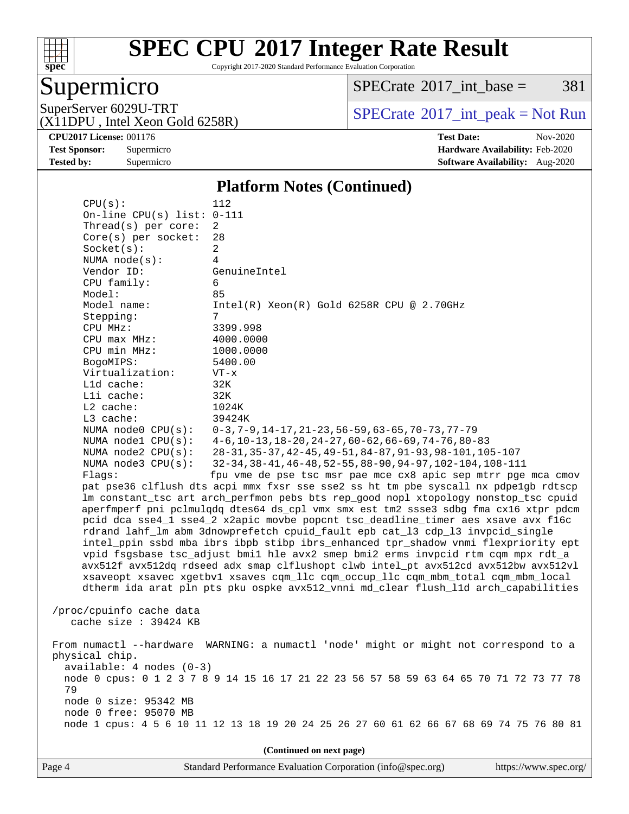

Copyright 2017-2020 Standard Performance Evaluation Corporation

# Supermicro

 $SPECTate@2017\_int\_base = 381$ 

(X11DPU , Intel Xeon Gold 6258R)

SuperServer 6029U-TRT <br>(X11DPU Intel Xeon Gold 6258R) [SPECrate](http://www.spec.org/auto/cpu2017/Docs/result-fields.html#SPECrate2017intpeak)®[2017\\_int\\_peak = N](http://www.spec.org/auto/cpu2017/Docs/result-fields.html#SPECrate2017intpeak)ot Run

**[CPU2017 License:](http://www.spec.org/auto/cpu2017/Docs/result-fields.html#CPU2017License)** 001176 **[Test Date:](http://www.spec.org/auto/cpu2017/Docs/result-fields.html#TestDate)** Nov-2020 **[Test Sponsor:](http://www.spec.org/auto/cpu2017/Docs/result-fields.html#TestSponsor)** Supermicro **[Hardware Availability:](http://www.spec.org/auto/cpu2017/Docs/result-fields.html#HardwareAvailability)** Feb-2020 **[Tested by:](http://www.spec.org/auto/cpu2017/Docs/result-fields.html#Testedby)** Supermicro **Supermicro [Software Availability:](http://www.spec.org/auto/cpu2017/Docs/result-fields.html#SoftwareAvailability)** Aug-2020

#### **[Platform Notes \(Continued\)](http://www.spec.org/auto/cpu2017/Docs/result-fields.html#PlatformNotes)**

| On-line $CPU(s)$ list:<br>Thread(s) per core: | $0 - 111$<br>2                                                                                                  |
|-----------------------------------------------|-----------------------------------------------------------------------------------------------------------------|
| Core(s) per socket:                           | 28                                                                                                              |
| Socket(s):                                    | $\overline{c}$                                                                                                  |
| NUMA $node(s):$                               | $\overline{4}$                                                                                                  |
| Vendor ID:                                    | GenuineIntel                                                                                                    |
| CPU family:                                   | 6                                                                                                               |
| Model:                                        | 85                                                                                                              |
| Model name:                                   | $Intel(R) Xeon(R) Gold 6258R CPU @ 2.70GHz$                                                                     |
| Stepping:                                     | 7                                                                                                               |
| CPU MHz:                                      | 3399.998                                                                                                        |
| CPU max MHz:                                  | 4000.0000                                                                                                       |
| CPU min MHz:                                  | 1000.0000                                                                                                       |
| BogoMIPS:                                     | 5400.00                                                                                                         |
| Virtualization:                               | $VT - x$                                                                                                        |
| L1d cache:                                    | 32K                                                                                                             |
| Lli cache:                                    | 32K                                                                                                             |
| $L2$ cache:                                   | 1024K                                                                                                           |
| L3 cache:<br>NUMA node0 CPU(s):               | 39424K                                                                                                          |
| NUMA nodel $CPU(s):$                          | $0-3, 7-9, 14-17, 21-23, 56-59, 63-65, 70-73, 77-79$<br>$4-6$ , 10-13, 18-20, 24-27, 60-62, 66-69, 74-76, 80-83 |
| NUMA $node2$ $CPU(s)$ :                       | 28-31, 35-37, 42-45, 49-51, 84-87, 91-93, 98-101, 105-107                                                       |
| NUMA node3 CPU(s):                            | 32-34, 38-41, 46-48, 52-55, 88-90, 94-97, 102-104, 108-111                                                      |
| Flaqs:                                        | fpu vme de pse tsc msr pae mce cx8 apic sep mtrr pge mca cmov                                                   |
|                                               | pat pse36 clflush dts acpi mmx fxsr sse sse2 ss ht tm pbe syscall nx pdpelgb rdtscp                             |
|                                               | lm constant_tsc art arch_perfmon pebs bts rep_good nopl xtopology nonstop_tsc cpuid                             |
|                                               | aperfmperf pni pclmulqdq dtes64 ds_cpl vmx smx est tm2 ssse3 sdbg fma cx16 xtpr pdcm                            |
|                                               | pcid dca sse4_1 sse4_2 x2apic movbe popcnt tsc_deadline_timer aes xsave avx f16c                                |
|                                               | rdrand lahf_lm abm 3dnowprefetch cpuid_fault epb cat_13 cdp_13 invpcid_single                                   |
|                                               | intel_ppin ssbd mba ibrs ibpb stibp ibrs_enhanced tpr_shadow vnmi flexpriority ept                              |
|                                               | vpid fsgsbase tsc_adjust bmil hle avx2 smep bmi2 erms invpcid rtm cqm mpx rdt_a                                 |
|                                               | avx512f avx512dq rdseed adx smap clflushopt clwb intel_pt avx512cd avx512bw avx512vl                            |
|                                               | xsaveopt xsavec xgetbvl xsaves cqm_llc cqm_occup_llc cqm_mbm_total cqm_mbm_local                                |
|                                               | dtherm ida arat pln pts pku ospke avx512_vnni md_clear flush_lld arch_capabilities                              |
|                                               |                                                                                                                 |
| /proc/cpuinfo cache data                      |                                                                                                                 |
| cache size $: 39424$ KB                       |                                                                                                                 |
| From numactl --hardware                       | WARNING: a numactl 'node' might or might not correspond to a                                                    |
| physical chip.                                |                                                                                                                 |
| $available: 4 nodes (0-3)$                    |                                                                                                                 |
|                                               | node 0 cpus: 0 1 2 3 7 8 9 14 15 16 17 21 22 23 56 57 58 59 63 64 65 70 71 72 73 77 78                          |
| 79                                            |                                                                                                                 |
| node 0 size: 95342 MB                         |                                                                                                                 |
| node 0 free: 95070 MB                         |                                                                                                                 |
|                                               | node 1 cpus: 4 5 6 10 11 12 13 18 19 20 24 25 26 27 60 61 62 66 67 68 69 74 75 76 80 81                         |
|                                               |                                                                                                                 |
|                                               | (Continued on next page)                                                                                        |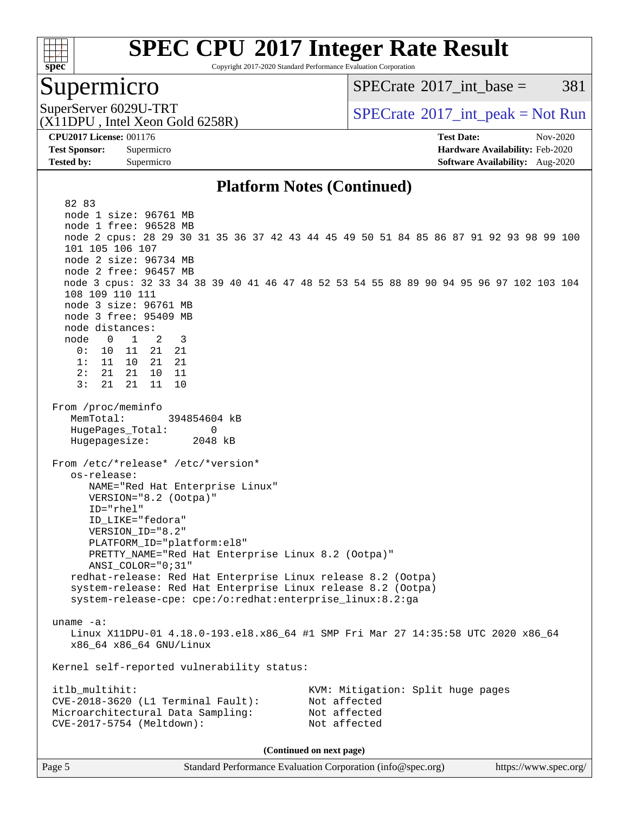

Copyright 2017-2020 Standard Performance Evaluation Corporation

### Supermicro

 $SPECTate^{\circledast}2017$  int base = 381

(X11DPU , Intel Xeon Gold 6258R)

SuperServer 6029U-TRT  $SPECrate^{\circ}2017$  $SPECrate^{\circ}2017$ \_int\_peak = Not Run

**[Tested by:](http://www.spec.org/auto/cpu2017/Docs/result-fields.html#Testedby)** Supermicro **[Software Availability:](http://www.spec.org/auto/cpu2017/Docs/result-fields.html#SoftwareAvailability)** Aug-2020

**[CPU2017 License:](http://www.spec.org/auto/cpu2017/Docs/result-fields.html#CPU2017License)** 001176 **[Test Date:](http://www.spec.org/auto/cpu2017/Docs/result-fields.html#TestDate)** Nov-2020 **[Test Sponsor:](http://www.spec.org/auto/cpu2017/Docs/result-fields.html#TestSponsor)** Supermicro **[Hardware Availability:](http://www.spec.org/auto/cpu2017/Docs/result-fields.html#HardwareAvailability)** Feb-2020

#### **[Platform Notes \(Continued\)](http://www.spec.org/auto/cpu2017/Docs/result-fields.html#PlatformNotes)**

 82 83 node 1 size: 96761 MB node 1 free: 96528 MB node 2 cpus: 28 29 30 31 35 36 37 42 43 44 45 49 50 51 84 85 86 87 91 92 93 98 99 100 101 105 106 107 node 2 size: 96734 MB node 2 free: 96457 MB node 3 cpus: 32 33 34 38 39 40 41 46 47 48 52 53 54 55 88 89 90 94 95 96 97 102 103 104 108 109 110 111 node 3 size: 96761 MB node 3 free: 95409 MB node distances: node 0 1 2 3 0: 10 11 21 21 1: 11 10 21 21 2: 21 21 10 11  $3: 21 21 11$  From /proc/meminfo MemTotal: 394854604 kB HugePages\_Total: 0 Hugepagesize: 2048 kB From /etc/\*release\* /etc/\*version\* os-release: NAME="Red Hat Enterprise Linux" VERSION="8.2 (Ootpa)" ID="rhel" ID\_LIKE="fedora" VERSION\_ID="8.2" PLATFORM\_ID="platform:el8" PRETTY\_NAME="Red Hat Enterprise Linux 8.2 (Ootpa)" ANSI\_COLOR="0;31" redhat-release: Red Hat Enterprise Linux release 8.2 (Ootpa) system-release: Red Hat Enterprise Linux release 8.2 (Ootpa) system-release-cpe: cpe:/o:redhat:enterprise\_linux:8.2:ga uname -a: Linux X11DPU-01 4.18.0-193.el8.x86\_64 #1 SMP Fri Mar 27 14:35:58 UTC 2020 x86\_64 x86\_64 x86\_64 GNU/Linux Kernel self-reported vulnerability status: itlb\_multihit: KVM: Mitigation: Split huge pages CVE-2018-3620 (L1 Terminal Fault): Not affected Microarchitectural Data Sampling: Not affected CVE-2017-5754 (Meltdown): Not affected **(Continued on next page)**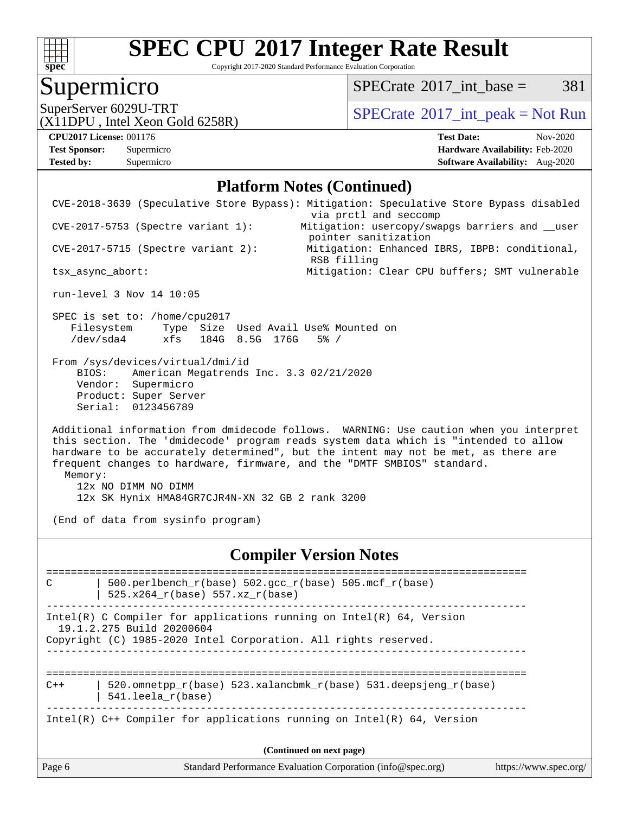

Copyright 2017-2020 Standard Performance Evaluation Corporation

# **Supermicro**

 $SPECTate@2017\_int\_base = 381$ 

(X11DPU , Intel Xeon Gold 6258R)

SuperServer 6029U-TRT <br>(X11DPU Intel Xeon Gold 6258R) [SPECrate](http://www.spec.org/auto/cpu2017/Docs/result-fields.html#SPECrate2017intpeak)®[2017\\_int\\_peak = N](http://www.spec.org/auto/cpu2017/Docs/result-fields.html#SPECrate2017intpeak)ot Run

**[Tested by:](http://www.spec.org/auto/cpu2017/Docs/result-fields.html#Testedby)** Supermicro **[Software Availability:](http://www.spec.org/auto/cpu2017/Docs/result-fields.html#SoftwareAvailability)** Aug-2020

**[CPU2017 License:](http://www.spec.org/auto/cpu2017/Docs/result-fields.html#CPU2017License)** 001176 **[Test Date:](http://www.spec.org/auto/cpu2017/Docs/result-fields.html#TestDate)** Nov-2020 **[Test Sponsor:](http://www.spec.org/auto/cpu2017/Docs/result-fields.html#TestSponsor)** Supermicro **[Hardware Availability:](http://www.spec.org/auto/cpu2017/Docs/result-fields.html#HardwareAvailability)** Feb-2020

#### **[Platform Notes \(Continued\)](http://www.spec.org/auto/cpu2017/Docs/result-fields.html#PlatformNotes)**

|         | $CVE-2017-5753$ (Spectre variant 1):                                                                                                                      | via prctl and seccomp<br>Mitigation: usercopy/swapgs barriers and __user<br>pointer sanitization                                                                                                                                                                                                                                               |                       |
|---------|-----------------------------------------------------------------------------------------------------------------------------------------------------------|------------------------------------------------------------------------------------------------------------------------------------------------------------------------------------------------------------------------------------------------------------------------------------------------------------------------------------------------|-----------------------|
|         | $CVE-2017-5715$ (Spectre variant 2):                                                                                                                      | Mitigation: Enhanced IBRS, IBPB: conditional,                                                                                                                                                                                                                                                                                                  |                       |
|         | tsx_async_abort:                                                                                                                                          | RSB filling<br>Mitigation: Clear CPU buffers; SMT vulnerable                                                                                                                                                                                                                                                                                   |                       |
|         | run-level 3 Nov 14 10:05                                                                                                                                  |                                                                                                                                                                                                                                                                                                                                                |                       |
|         | SPEC is set to: /home/cpu2017<br>Filesystem Type Size Used Avail Use% Mounted on<br>/dev/sda4<br>xfs 184G 8.5G 176G                                       | $5\%$ /                                                                                                                                                                                                                                                                                                                                        |                       |
|         | From /sys/devices/virtual/dmi/id<br>American Megatrends Inc. 3.3 02/21/2020<br>BIOS:<br>Vendor: Supermicro<br>Product: Super Server<br>Serial: 0123456789 |                                                                                                                                                                                                                                                                                                                                                |                       |
| Memory: | 12x NO DIMM NO DIMM<br>12x SK Hynix HMA84GR7CJR4N-XN 32 GB 2 rank 3200<br>(End of data from sysinfo program)                                              | Additional information from dmidecode follows. WARNING: Use caution when you interpret<br>this section. The 'dmidecode' program reads system data which is "intended to allow<br>hardware to be accurately determined", but the intent may not be met, as there are<br>frequent changes to hardware, firmware, and the "DMTF SMBIOS" standard. |                       |
|         |                                                                                                                                                           | <b>Compiler Version Notes</b>                                                                                                                                                                                                                                                                                                                  |                       |
|         |                                                                                                                                                           | ==============================                                                                                                                                                                                                                                                                                                                 |                       |
| C       | 500.perlbench_r(base) 502.gcc_r(base) 505.mcf_r(base)<br>525.x264_r(base) 557.xz_r(base)                                                                  |                                                                                                                                                                                                                                                                                                                                                |                       |
|         | 19.1.2.275 Build 20200604                                                                                                                                 | Intel(R) C Compiler for applications running on $Intel(R) 64$ , Version                                                                                                                                                                                                                                                                        |                       |
|         | Copyright (C) 1985-2020 Intel Corporation. All rights reserved.                                                                                           |                                                                                                                                                                                                                                                                                                                                                |                       |
| $C++$   | 541.leela_r(base)                                                                                                                                         | 520.omnetpp_r(base) 523.xalancbmk_r(base) 531.deepsjeng_r(base)                                                                                                                                                                                                                                                                                |                       |
|         |                                                                                                                                                           | Intel(R) $C++$ Compiler for applications running on Intel(R) 64, Version                                                                                                                                                                                                                                                                       |                       |
|         |                                                                                                                                                           | (Continued on next page)                                                                                                                                                                                                                                                                                                                       |                       |
| Page 6  |                                                                                                                                                           | Standard Performance Evaluation Corporation (info@spec.org)                                                                                                                                                                                                                                                                                    | https://www.spec.org/ |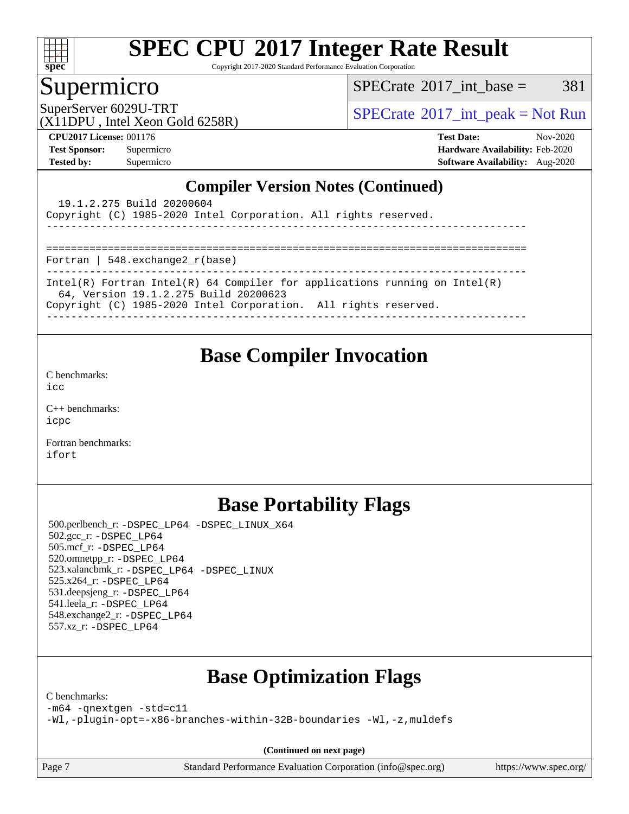

Copyright 2017-2020 Standard Performance Evaluation Corporation

### Supermicro

 $SPECTate$ <sup>®</sup>[2017\\_int\\_base =](http://www.spec.org/auto/cpu2017/Docs/result-fields.html#SPECrate2017intbase) 381

(X11DPU , Intel Xeon Gold 6258R)

SuperServer 6029U-TRT  $S^{2017}$  [SPECrate](http://www.spec.org/auto/cpu2017/Docs/result-fields.html#SPECrate2017intpeak)®[2017\\_int\\_peak = N](http://www.spec.org/auto/cpu2017/Docs/result-fields.html#SPECrate2017intpeak)ot Run

**[CPU2017 License:](http://www.spec.org/auto/cpu2017/Docs/result-fields.html#CPU2017License)** 001176 **[Test Date:](http://www.spec.org/auto/cpu2017/Docs/result-fields.html#TestDate)** Nov-2020 **[Test Sponsor:](http://www.spec.org/auto/cpu2017/Docs/result-fields.html#TestSponsor)** Supermicro **[Hardware Availability:](http://www.spec.org/auto/cpu2017/Docs/result-fields.html#HardwareAvailability)** Feb-2020 **[Tested by:](http://www.spec.org/auto/cpu2017/Docs/result-fields.html#Testedby)** Supermicro **[Software Availability:](http://www.spec.org/auto/cpu2017/Docs/result-fields.html#SoftwareAvailability)** Aug-2020

### **[Compiler Version Notes \(Continued\)](http://www.spec.org/auto/cpu2017/Docs/result-fields.html#CompilerVersionNotes)**

| 19.1.2.275 Build 20200604                                                                                           |
|---------------------------------------------------------------------------------------------------------------------|
| Copyright (C) 1985-2020 Intel Corporation. All rights reserved.                                                     |
|                                                                                                                     |
|                                                                                                                     |
| Fortran   548.exchange2 $r(base)$                                                                                   |
|                                                                                                                     |
| Intel(R) Fortran Intel(R) 64 Compiler for applications running on Intel(R)<br>64, Version 19.1.2.275 Build 20200623 |
| Copyright (C) 1985-2020 Intel Corporation. All rights reserved.                                                     |
|                                                                                                                     |

### **[Base Compiler Invocation](http://www.spec.org/auto/cpu2017/Docs/result-fields.html#BaseCompilerInvocation)**

[C benchmarks](http://www.spec.org/auto/cpu2017/Docs/result-fields.html#Cbenchmarks):  $i$ cc

[C++ benchmarks:](http://www.spec.org/auto/cpu2017/Docs/result-fields.html#CXXbenchmarks) [icpc](http://www.spec.org/cpu2017/results/res2020q4/cpu2017-20201207-24564.flags.html#user_CXXbase_intel_icpc_c510b6838c7f56d33e37e94d029a35b4a7bccf4766a728ee175e80a419847e808290a9b78be685c44ab727ea267ec2f070ec5dc83b407c0218cded6866a35d07)

[Fortran benchmarks](http://www.spec.org/auto/cpu2017/Docs/result-fields.html#Fortranbenchmarks): [ifort](http://www.spec.org/cpu2017/results/res2020q4/cpu2017-20201207-24564.flags.html#user_FCbase_intel_ifort_8111460550e3ca792625aed983ce982f94888b8b503583aa7ba2b8303487b4d8a21a13e7191a45c5fd58ff318f48f9492884d4413fa793fd88dd292cad7027ca)

## **[Base Portability Flags](http://www.spec.org/auto/cpu2017/Docs/result-fields.html#BasePortabilityFlags)**

 500.perlbench\_r: [-DSPEC\\_LP64](http://www.spec.org/cpu2017/results/res2020q4/cpu2017-20201207-24564.flags.html#b500.perlbench_r_basePORTABILITY_DSPEC_LP64) [-DSPEC\\_LINUX\\_X64](http://www.spec.org/cpu2017/results/res2020q4/cpu2017-20201207-24564.flags.html#b500.perlbench_r_baseCPORTABILITY_DSPEC_LINUX_X64) 502.gcc\_r: [-DSPEC\\_LP64](http://www.spec.org/cpu2017/results/res2020q4/cpu2017-20201207-24564.flags.html#suite_basePORTABILITY502_gcc_r_DSPEC_LP64) 505.mcf\_r: [-DSPEC\\_LP64](http://www.spec.org/cpu2017/results/res2020q4/cpu2017-20201207-24564.flags.html#suite_basePORTABILITY505_mcf_r_DSPEC_LP64) 520.omnetpp\_r: [-DSPEC\\_LP64](http://www.spec.org/cpu2017/results/res2020q4/cpu2017-20201207-24564.flags.html#suite_basePORTABILITY520_omnetpp_r_DSPEC_LP64) 523.xalancbmk\_r: [-DSPEC\\_LP64](http://www.spec.org/cpu2017/results/res2020q4/cpu2017-20201207-24564.flags.html#suite_basePORTABILITY523_xalancbmk_r_DSPEC_LP64) [-DSPEC\\_LINUX](http://www.spec.org/cpu2017/results/res2020q4/cpu2017-20201207-24564.flags.html#b523.xalancbmk_r_baseCXXPORTABILITY_DSPEC_LINUX) 525.x264\_r: [-DSPEC\\_LP64](http://www.spec.org/cpu2017/results/res2020q4/cpu2017-20201207-24564.flags.html#suite_basePORTABILITY525_x264_r_DSPEC_LP64) 531.deepsjeng\_r: [-DSPEC\\_LP64](http://www.spec.org/cpu2017/results/res2020q4/cpu2017-20201207-24564.flags.html#suite_basePORTABILITY531_deepsjeng_r_DSPEC_LP64) 541.leela\_r: [-DSPEC\\_LP64](http://www.spec.org/cpu2017/results/res2020q4/cpu2017-20201207-24564.flags.html#suite_basePORTABILITY541_leela_r_DSPEC_LP64) 548.exchange2\_r: [-DSPEC\\_LP64](http://www.spec.org/cpu2017/results/res2020q4/cpu2017-20201207-24564.flags.html#suite_basePORTABILITY548_exchange2_r_DSPEC_LP64) 557.xz\_r: [-DSPEC\\_LP64](http://www.spec.org/cpu2017/results/res2020q4/cpu2017-20201207-24564.flags.html#suite_basePORTABILITY557_xz_r_DSPEC_LP64)

# **[Base Optimization Flags](http://www.spec.org/auto/cpu2017/Docs/result-fields.html#BaseOptimizationFlags)**

[C benchmarks](http://www.spec.org/auto/cpu2017/Docs/result-fields.html#Cbenchmarks):

[-m64](http://www.spec.org/cpu2017/results/res2020q4/cpu2017-20201207-24564.flags.html#user_CCbase_m64-icc) [-qnextgen](http://www.spec.org/cpu2017/results/res2020q4/cpu2017-20201207-24564.flags.html#user_CCbase_f-qnextgen) [-std=c11](http://www.spec.org/cpu2017/results/res2020q4/cpu2017-20201207-24564.flags.html#user_CCbase_std-icc-std_0e1c27790398a4642dfca32ffe6c27b5796f9c2d2676156f2e42c9c44eaad0c049b1cdb667a270c34d979996257aeb8fc440bfb01818dbc9357bd9d174cb8524)

[-Wl,-plugin-opt=-x86-branches-within-32B-boundaries](http://www.spec.org/cpu2017/results/res2020q4/cpu2017-20201207-24564.flags.html#user_CCbase_f-x86-branches-within-32B-boundaries_0098b4e4317ae60947b7b728078a624952a08ac37a3c797dfb4ffeb399e0c61a9dd0f2f44ce917e9361fb9076ccb15e7824594512dd315205382d84209e912f3) [-Wl,-z,muldefs](http://www.spec.org/cpu2017/results/res2020q4/cpu2017-20201207-24564.flags.html#user_CCbase_link_force_multiple1_b4cbdb97b34bdee9ceefcfe54f4c8ea74255f0b02a4b23e853cdb0e18eb4525ac79b5a88067c842dd0ee6996c24547a27a4b99331201badda8798ef8a743f577)

**(Continued on next page)**

Page 7 Standard Performance Evaluation Corporation [\(info@spec.org\)](mailto:info@spec.org) <https://www.spec.org/>